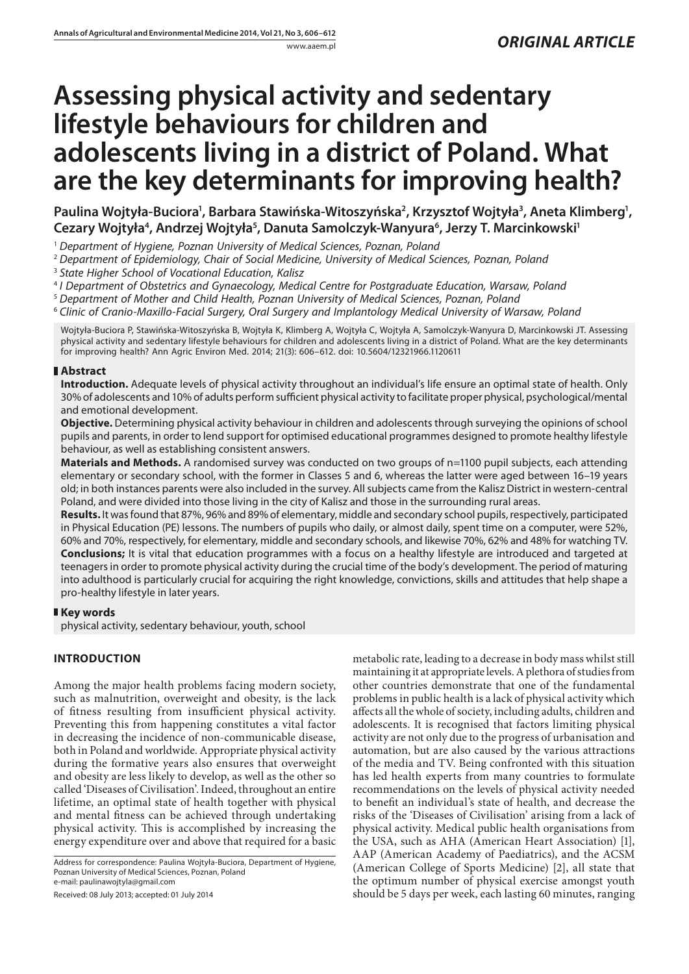# **Assessing physical activity and sedentary lifestyle behaviours for children and adolescents living in a district of Poland. What are the key determinants for improving health?**

Paulina Wojtyła-Buciora<sup>1</sup>, Barbara Stawińska-Witoszyńska<sup>2</sup>, Krzysztof Wojtyła<sup>3</sup>, Aneta Klimberg<sup>1</sup>, Cezary Wojtyła<sup>4</sup>, Andrzej Wojtyła<sup>5</sup>, Danuta Samolczyk-Wanyura<sup>6</sup>, Jerzy T. Marcinkowski<sup>1</sup>

<sup>1</sup> *Department of Hygiene, Poznan University of Medical Sciences, Poznan, Poland*

<sup>2</sup> *Department of Epidemiology, Chair of Social Medicine, University of Medical Sciences, Poznan, Poland*

<sup>3</sup> *State Higher School of Vocational Education, Kalisz*

<sup>4</sup> *I Department of Obstetrics and Gynaecology, Medical Centre for Postgraduate Education, Warsaw, Poland*

<sup>5</sup> *Department of Mother and Child Health, Poznan University of Medical Sciences, Poznan, Poland*

<sup>6</sup> *Clinic of Cranio-Maxillo-Facial Surgery, Oral Surgery and Implantology Medical University of Warsaw, Poland*

Wojtyła-Buciora P, Stawińska-Witoszyńska B, Wojtyła K, Klimberg A, Wojtyła C, Wojtyła A, Samolczyk-Wanyura D, Marcinkowski JT. Assessing physical activity and sedentary lifestyle behaviours for children and adolescents living in a district of Poland. What are the key determinants for improving health? Ann Agric Environ Med. 2014; 21(3): 606–612. doi: 10.5604/12321966.1120611

# **Abstract**

**Introduction.** Adequate levels of physical activity throughout an individual's life ensure an optimal state of health. Only 30% of adolescents and 10% of adults perform sufficient physical activity to facilitate proper physical, psychological/mental and emotional development.

**Objective.** Determining physical activity behaviour in children and adolescents through surveying the opinions of school pupils and parents, in order to lend support for optimised educational programmes designed to promote healthy lifestyle behaviour, as well as establishing consistent answers.

**Materials and Methods.** A randomised survey was conducted on two groups of n=1100 pupil subjects, each attending elementary or secondary school, with the former in Classes 5 and 6, whereas the latter were aged between 16–19 years old; in both instances parents were also included in the survey. All subjects came from the Kalisz District in western-central Poland, and were divided into those living in the city of Kalisz and those in the surrounding rural areas.

**Results.** It was found that 87%, 96% and 89% of elementary, middle and secondary school pupils, respectively, participated in Physical Education (PE) lessons. The numbers of pupils who daily, or almost daily, spent time on a computer, were 52%, 60% and 70%, respectively, for elementary, middle and secondary schools, and likewise 70%, 62% and 48% for watching TV. **Conclusions;** It is vital that education programmes with a focus on a healthy lifestyle are introduced and targeted at teenagers in order to promote physical activity during the crucial time of the body's development. The period of maturing into adulthood is particularly crucial for acquiring the right knowledge, convictions, skills and attitudes that help shape a pro-healthy lifestyle in later years.

# **Key words**

physical activity, sedentary behaviour, youth, school

# **INTRODUCTION**

Among the major health problems facing modern society, such as malnutrition, overweight and obesity, is the lack of fitness resulting from insufficient physical activity. Preventing this from happening constitutes a vital factor in decreasing the incidence of non-communicable disease, both in Poland and worldwide. Appropriate physical activity during the formative years also ensures that overweight and obesity are less likely to develop, as well as the other so called 'Diseases of Civilisation'. Indeed, throughout an entire lifetime, an optimal state of health together with physical and mental fitness can be achieved through undertaking physical activity. This is accomplished by increasing the energy expenditure over and above that required for a basic

Address for correspondence: Paulina Wojtyła-Buciora, Department of Hygiene, Poznan University of Medical Sciences, Poznan, Poland e-mail: paulinawojtyla@gmail.com

Received: 08 July 2013; accepted: 01 July 2014

metabolic rate, leading to a decrease in body mass whilst still maintaining it at appropriate levels. A plethora of studies from other countries demonstrate that one of the fundamental problems in public health is a lack of physical activity which affects all the whole of society, including adults, children and adolescents. It is recognised that factors limiting physical activity are not only due to the progress of urbanisation and automation, but are also caused by the various attractions of the media and TV. Being confronted with this situation has led health experts from many countries to formulate recommendations on the levels of physical activity needed to benefit an individual's state of health, and decrease the risks of the 'Diseases of Civilisation' arising from a lack of physical activity. Medical public health organisations from the USA, such as AHA (American Heart Association) [1], AAP (American Academy of Paediatrics), and the ACSM (American College of Sports Medicine) [2], all state that the optimum number of physical exercise amongst youth should be 5 days per week, each lasting 60 minutes, ranging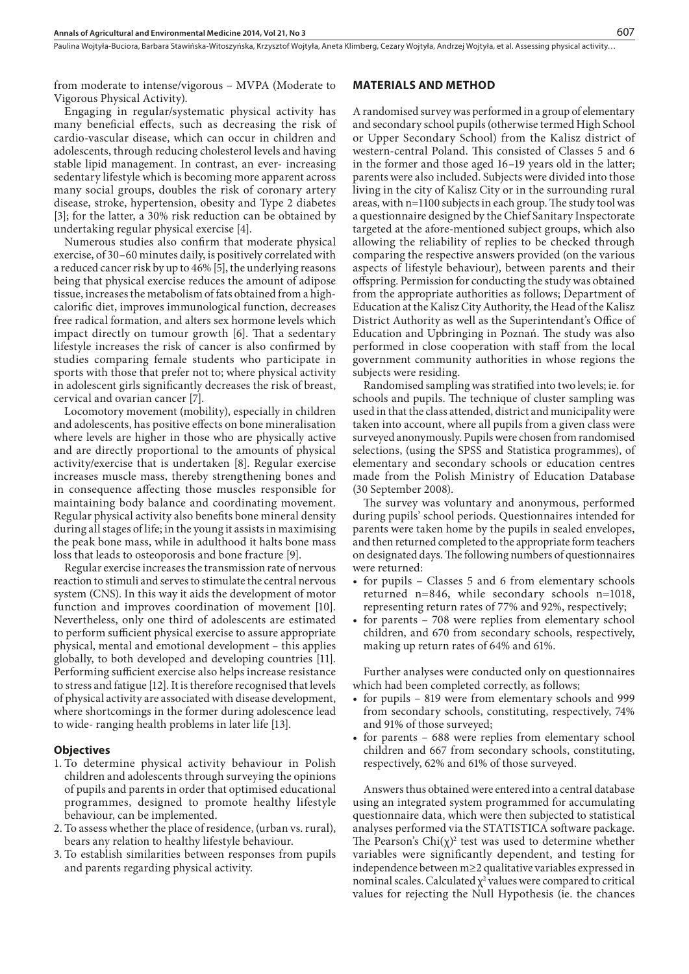Paulina Wojtyła-Buciora, Barbara Stawińska-Witoszyńska, Krzysztof Wojtyła, Aneta Klimberg, Cezary Wojtyła, Andrzej Wojtyła, et al. Assessing physical activity...

from moderate to intense/vigorous – MVPA (Moderate to Vigorous Physical Activity).

### Engaging in regular/systematic physical activity has many beneficial effects, such as decreasing the risk of cardio-vascular disease, which can occur in children and adolescents, through reducing cholesterol levels and having stable lipid management. In contrast, an ever- increasing sedentary lifestyle which is becoming more apparent across many social groups, doubles the risk of coronary artery disease, stroke, hypertension, obesity and Type 2 diabetes [3]; for the latter, a 30% risk reduction can be obtained by undertaking regular physical exercise [4].

Numerous studies also confirm that moderate physical exercise, of 30–60 minutes daily, is positively correlated with a reduced cancer risk by up to 46% [5], the underlying reasons being that physical exercise reduces the amount of adipose tissue, increases the metabolism of fats obtained from a highcalorific diet, improves immunological function, decreases free radical formation, and alters sex hormone levels which impact directly on tumour growth [6]. That a sedentary lifestyle increases the risk of cancer is also confirmed by studies comparing female students who participate in sports with those that prefer not to; where physical activity in adolescent girls significantly decreases the risk of breast, cervical and ovarian cancer [7].

Locomotory movement (mobility), especially in children and adolescents, has positive effects on bone mineralisation where levels are higher in those who are physically active and are directly proportional to the amounts of physical activity/exercise that is undertaken [8]. Regular exercise increases muscle mass, thereby strengthening bones and in consequence affecting those muscles responsible for maintaining body balance and coordinating movement. Regular physical activity also benefits bone mineral density during all stages of life; in the young it assists in maximising the peak bone mass, while in adulthood it halts bone mass loss that leads to osteoporosis and bone fracture [9].

Regular exercise increases the transmission rate of nervous reaction to stimuli and serves to stimulate the central nervous system (CNS). In this way it aids the development of motor function and improves coordination of movement [10]. Nevertheless, only one third of adolescents are estimated to perform sufficient physical exercise to assure appropriate physical, mental and emotional development – this applies globally, to both developed and developing countries [11]. Performing sufficient exercise also helps increase resistance to stress and fatigue [12]. It is therefore recognised that levels of physical activity are associated with disease development, where shortcomings in the former during adolescence lead to wide- ranging health problems in later life [13].

#### **Objectives**

- 1. To determine physical activity behaviour in Polish children and adolescents through surveying the opinions of pupils and parents in order that optimised educational programmes, designed to promote healthy lifestyle behaviour, can be implemented.
- 2. To assess whether the place of residence, (urban vs. rural), bears any relation to healthy lifestyle behaviour.
- 3. To establish similarities between responses from pupils and parents regarding physical activity.

#### **MATERIALS AND METHOD**

A randomised survey was performed in a group of elementary and secondary school pupils (otherwise termed High School or Upper Secondary School) from the Kalisz district of western-central Poland. This consisted of Classes 5 and 6 in the former and those aged 16–19 years old in the latter; parents were also included. Subjects were divided into those living in the city of Kalisz City or in the surrounding rural areas, with n=1100 subjects in each group. The study tool was a questionnaire designed by the Chief Sanitary Inspectorate targeted at the afore-mentioned subject groups, which also allowing the reliability of replies to be checked through comparing the respective answers provided (on the various aspects of lifestyle behaviour), between parents and their offspring. Permission for conducting the study was obtained from the appropriate authorities as follows; Department of Education at the Kalisz City Authority, the Head of the Kalisz District Authority as well as the Superintendant's Office of Education and Upbringing in Poznań. The study was also performed in close cooperation with staff from the local government community authorities in whose regions the subjects were residing.

Randomised sampling was stratified into two levels; ie. for schools and pupils. The technique of cluster sampling was used in that the class attended, district and municipality were taken into account, where all pupils from a given class were surveyed anonymously. Pupils were chosen from randomised selections, (using the SPSS and Statistica programmes), of elementary and secondary schools or education centres made from the Polish Ministry of Education Database (30 September 2008).

The survey was voluntary and anonymous, performed during pupils' school periods. Questionnaires intended for parents were taken home by the pupils in sealed envelopes, and then returned completed to the appropriate form teachers on designated days. The following numbers of questionnaires were returned:

- for pupils Classes 5 and 6 from elementary schools returned n=846, while secondary schools n=1018, representing return rates of 77% and 92%, respectively;
- for parents 708 were replies from elementary school children, and 670 from secondary schools, respectively, making up return rates of 64% and 61%.

Further analyses were conducted only on questionnaires which had been completed correctly, as follows;

- for pupils 819 were from elementary schools and 999 from secondary schools, constituting, respectively, 74% and 91% of those surveyed;
- for parents 688 were replies from elementary school children and 667 from secondary schools, constituting, respectively, 62% and 61% of those surveyed.

Answers thus obtained were entered into a central database using an integrated system programmed for accumulating questionnaire data, which were then subjected to statistical analyses performed via the STATISTICA software package. The Pearson's  $Chi(\chi)^2$  test was used to determine whether variables were significantly dependent, and testing for independence between m≥2 qualitative variables expressed in nominal scales. Calculated  $\chi^2$  values were compared to critical values for rejecting the Null Hypothesis (ie. the chances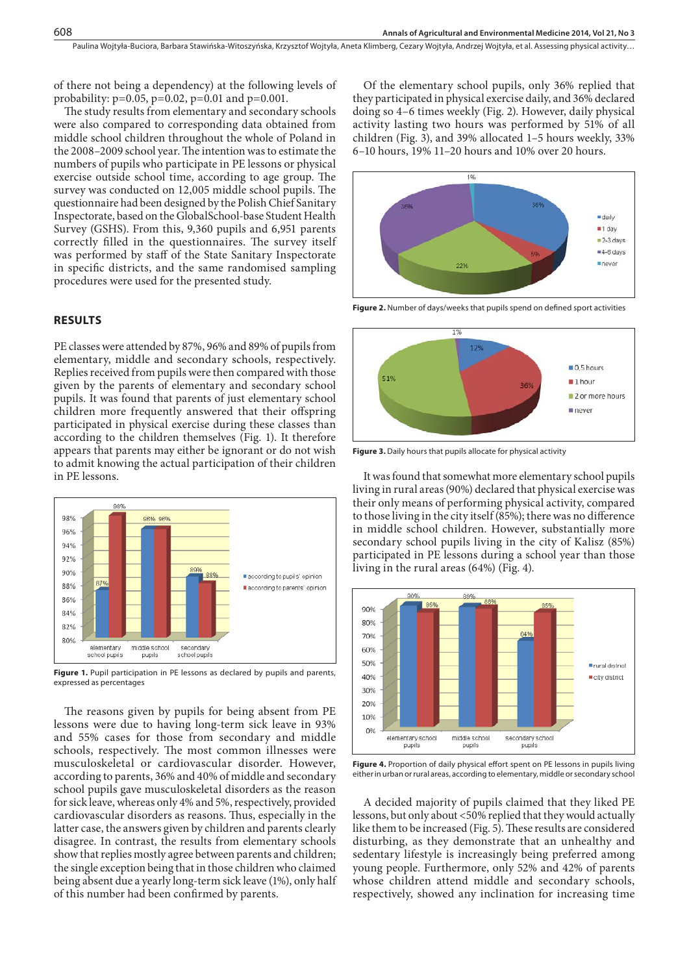of there not being a dependency) at the following levels of probability:  $p=0.05$ ,  $p=0.02$ ,  $p=0.01$  and  $p=0.001$ .

The study results from elementary and secondary schools were also compared to corresponding data obtained from middle school children throughout the whole of Poland in the 2008–2009 school year. The intention was to estimate the numbers of pupils who participate in PE lessons or physical exercise outside school time, according to age group. The survey was conducted on 12,005 middle school pupils. The questionnaire had been designed by the Polish Chief Sanitary Inspectorate, based on the GlobalSchool-base Student Health Survey (GSHS). From this, 9,360 pupils and 6,951 parents correctly filled in the questionnaires. The survey itself was performed by staff of the State Sanitary Inspectorate in specific districts, and the same randomised sampling procedures were used for the presented study.

#### **RESULTS**

PE classes were attended by 87%, 96% and 89% of pupils from elementary, middle and secondary schools, respectively. Replies received from pupils were then compared with those given by the parents of elementary and secondary school pupils. It was found that parents of just elementary school children more frequently answered that their offspring participated in physical exercise during these classes than according to the children themselves (Fig. 1). It therefore appears that parents may either be ignorant or do not wish to admit knowing the actual participation of their children in PE lessons.



Figure 1. Pupil participation in PE lessons as declared by pupils and parents, expressed as percentages

The reasons given by pupils for being absent from PE lessons were due to having long-term sick leave in 93% and 55% cases for those from secondary and middle schools, respectively. The most common illnesses were musculoskeletal or cardiovascular disorder. However, according to parents, 36% and 40% of middle and secondary school pupils gave musculoskeletal disorders as the reason for sick leave, whereas only 4% and 5%, respectively, provided cardiovascular disorders as reasons. Thus, especially in the latter case, the answers given by children and parents clearly disagree. In contrast, the results from elementary schools show that replies mostly agree between parents and children; the single exception being that in those children who claimed being absent due a yearly long-term sick leave (1%), only half of this number had been confirmed by parents.

Of the elementary school pupils, only 36% replied that they participated in physical exercise daily, and 36% declared doing so 4–6 times weekly (Fig. 2). However, daily physical activity lasting two hours was performed by 51% of all children (Fig. 3), and 39% allocated 1–5 hours weekly, 33% 6–10 hours, 19% 11–20 hours and 10% over 20 hours.



**Figure 2.** Number of days/weeks that pupils spend on defined sport activities



**Figure 3.** Daily hours that pupils allocate for physical activity

It was found that somewhat more elementary school pupils living in rural areas (90%) declared that physical exercise was their only means of performing physical activity, compared to those living in the city itself (85%); there was no difference in middle school children. However, substantially more secondary school pupils living in the city of Kalisz (85%) participated in PE lessons during a school year than those living in the rural areas (64%) (Fig. 4).



**Figure 4.** Proportion of daily physical effort spent on PE lessons in pupils living either in urban or rural areas, according to elementary, middle or secondary school

A decided majority of pupils claimed that they liked PE lessons, but only about <50% replied that they would actually like them to be increased (Fig. 5). These results are considered disturbing, as they demonstrate that an unhealthy and sedentary lifestyle is increasingly being preferred among young people. Furthermore, only 52% and 42% of parents whose children attend middle and secondary schools, respectively, showed any inclination for increasing time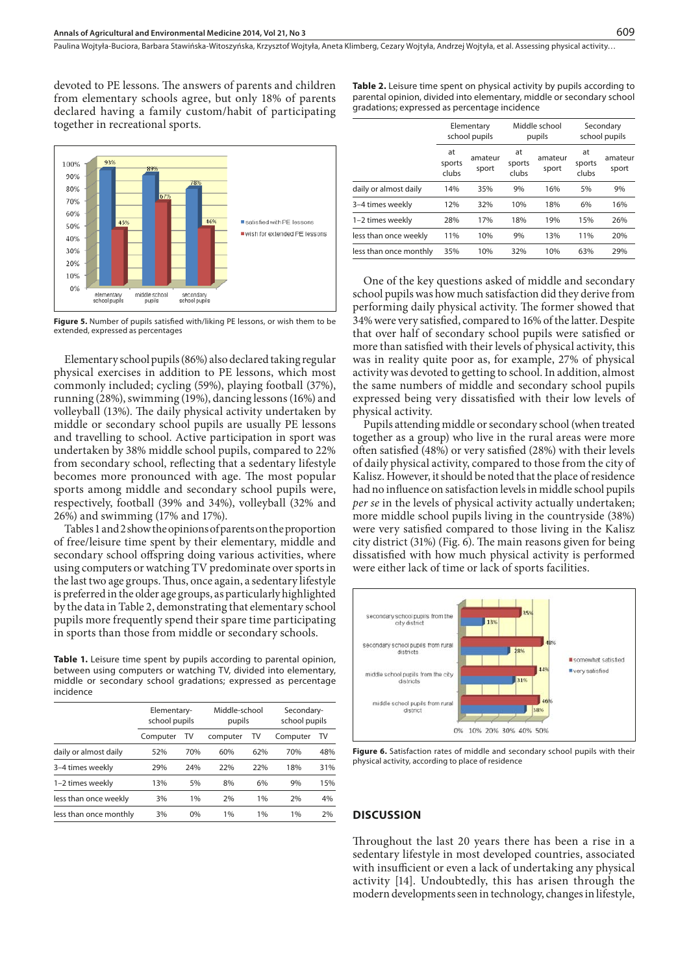Paulina Wojtyła-Buciora, Barbara Stawińska-Witoszyńska, Krzysztof Wojtyła, Aneta Klimberg, Cezary Wojtyła, Andrzej Wojtyła, et al. Assessing physical activity...

devoted to PE lessons. The answers of parents and children from elementary schools agree, but only 18% of parents declared having a family custom/habit of participating together in recreational sports.



**Figure 5.** Number of pupils satisfied with/liking PE lessons, or wish them to be extended, expressed as percentages

Elementary school pupils (86%) also declared taking regular physical exercises in addition to PE lessons, which most commonly included; cycling (59%), playing football (37%), running (28%), swimming (19%), dancing lessons (16%) and volleyball (13%). The daily physical activity undertaken by middle or secondary school pupils are usually PE lessons and travelling to school. Active participation in sport was undertaken by 38% middle school pupils, compared to 22% from secondary school, reflecting that a sedentary lifestyle becomes more pronounced with age. The most popular sports among middle and secondary school pupils were, respectively, football (39% and 34%), volleyball (32% and 26%) and swimming (17% and 17%).

Tables 1 and 2 show the opinions of parents on the proportion of free/leisure time spent by their elementary, middle and secondary school offspring doing various activities, where using computers or watching TV predominate over sports in the last two age groups. Thus, once again, a sedentary lifestyle is preferred in the older age groups, as particularly highlighted by the data in Table 2, demonstrating that elementary school pupils more frequently spend their spare time participating in sports than those from middle or secondary schools.

**Table 1.** Leisure time spent by pupils according to parental opinion, between using computers or watching TV, divided into elementary, middle or secondary school gradations; expressed as percentage incidence

| Elementary-<br>school pupils |                        | Middle-school<br>pupils |     | Secondary-<br>school pupils |     |
|------------------------------|------------------------|-------------------------|-----|-----------------------------|-----|
| Computer                     | TV                     | computer                | TV  | Computer                    | TV  |
| 52%                          | 70%                    | 60%                     | 62% | 70%                         | 48% |
| 29%                          | 24%                    | 22%                     | 22% | 18%                         | 31% |
| 13%                          | 5%                     | 8%                      | 6%  | 9%                          | 15% |
| 3%                           | 1%                     | 2%                      | 1%  | 2%                          | 4%  |
| 3%                           | 0%                     | 1%                      | 1%  | 1%                          | 2%  |
|                              | less than once monthly |                         |     |                             |     |

**Table 2.** Leisure time spent on physical activity by pupils according to parental opinion, divided into elementary, middle or secondary school gradations; expressed as percentage incidence

|                        | Elementary<br>school pupils |                  | Middle school<br>pupils |                  | Secondary<br>school pupils |                  |
|------------------------|-----------------------------|------------------|-------------------------|------------------|----------------------------|------------------|
|                        | at<br>sports<br>clubs       | amateur<br>sport | at<br>sports<br>clubs   | amateur<br>sport | at<br>sports<br>clubs      | amateur<br>sport |
| daily or almost daily  | 14%                         | 35%              | 9%                      | 16%              | 5%                         | 9%               |
| 3-4 times weekly       | 12%                         | 32%              | 10%                     | 18%              | 6%                         | 16%              |
| 1-2 times weekly       | 28%                         | 17%              | 18%                     | 19%              | 15%                        | 26%              |
| less than once weekly  | 11%                         | 10%              | 9%                      | 13%              | 11%                        | 20%              |
| less than once monthly | 35%                         | 10%              | 32%                     | 10%              | 63%                        | 29%              |

One of the key questions asked of middle and secondary school pupils was how much satisfaction did they derive from performing daily physical activity. The former showed that 34% were very satisfied, compared to 16% of the latter. Despite that over half of secondary school pupils were satisfied or more than satisfied with their levels of physical activity, this was in reality quite poor as, for example, 27% of physical activity was devoted to getting to school. In addition, almost the same numbers of middle and secondary school pupils expressed being very dissatisfied with their low levels of physical activity.

Pupils attending middle or secondary school (when treated together as a group) who live in the rural areas were more often satisfied (48%) or very satisfied (28%) with their levels of daily physical activity, compared to those from the city of Kalisz. However, it should be noted that the place of residence had no influence on satisfaction levels in middle school pupils *per se* in the levels of physical activity actually undertaken; more middle school pupils living in the countryside (38%) were very satisfied compared to those living in the Kalisz city district (31%) (Fig. 6). The main reasons given for being dissatisfied with how much physical activity is performed were either lack of time or lack of sports facilities.



**Figure 6.** Satisfaction rates of middle and secondary school pupils with their physical activity, according to place of residence

#### **DISCUSSION**

Throughout the last 20 years there has been a rise in a sedentary lifestyle in most developed countries, associated with insufficient or even a lack of undertaking any physical activity [14]. Undoubtedly, this has arisen through the modern developments seen in technology, changes in lifestyle,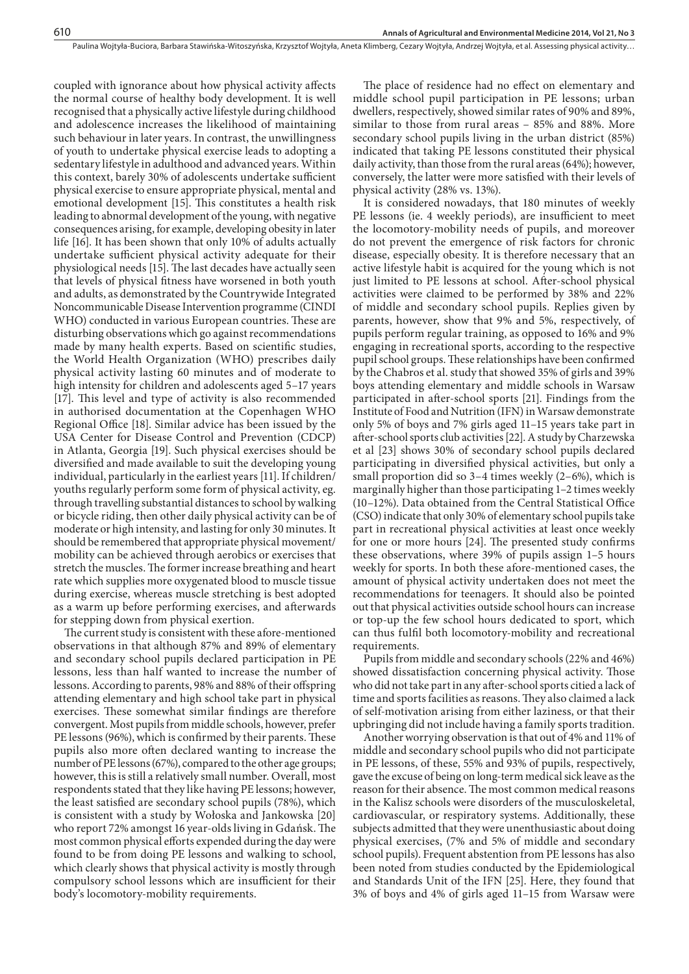coupled with ignorance about how physical activity affects the normal course of healthy body development. It is well recognised that a physically active lifestyle during childhood and adolescence increases the likelihood of maintaining such behaviour in later years. In contrast, the unwillingness of youth to undertake physical exercise leads to adopting a sedentary lifestyle in adulthood and advanced years. Within this context, barely 30% of adolescents undertake sufficient physical exercise to ensure appropriate physical, mental and emotional development [15]. This constitutes a health risk leading to abnormal development of the young, with negative consequences arising, for example, developing obesity in later life [16]. It has been shown that only 10% of adults actually undertake sufficient physical activity adequate for their physiological needs [15]. The last decades have actually seen that levels of physical fitness have worsened in both youth and adults, as demonstrated by the Countrywide Integrated Noncommunicable Disease Intervention programme (CINDI WHO) conducted in various European countries. These are disturbing observations which go against recommendations made by many health experts. Based on scientific studies, the World Health Organization (WHO) prescribes daily physical activity lasting 60 minutes and of moderate to high intensity for children and adolescents aged 5–17 years [17]. This level and type of activity is also recommended in authorised documentation at the Copenhagen WHO Regional Office [18]. Similar advice has been issued by the USA Center for Disease Control and Prevention (CDCP) in Atlanta, Georgia [19]. Such physical exercises should be diversified and made available to suit the developing young individual, particularly in the earliest years [11]. If children/ youths regularly perform some form of physical activity, eg. through travelling substantial distances to school by walking or bicycle riding, then other daily physical activity can be of moderate or high intensity, and lasting for only 30 minutes. It should be remembered that appropriate physical movement/ mobility can be achieved through aerobics or exercises that stretch the muscles. The former increase breathing and heart rate which supplies more oxygenated blood to muscle tissue during exercise, whereas muscle stretching is best adopted as a warm up before performing exercises, and afterwards for stepping down from physical exertion.

The current study is consistent with these afore-mentioned observations in that although 87% and 89% of elementary and secondary school pupils declared participation in PE lessons, less than half wanted to increase the number of lessons. According to parents, 98% and 88% of their offspring attending elementary and high school take part in physical exercises. These somewhat similar findings are therefore convergent. Most pupils from middle schools, however, prefer PE lessons (96%), which is confirmed by their parents. These pupils also more often declared wanting to increase the number of PE lessons (67%), compared to the other age groups; however, this is still a relatively small number. Overall, most respondents stated that they like having PE lessons; however, the least satisfied are secondary school pupils (78%), which is consistent with a study by Wołoska and Jankowska [20] who report 72% amongst 16 year-olds living in Gdańsk. The most common physical efforts expended during the day were found to be from doing PE lessons and walking to school, which clearly shows that physical activity is mostly through compulsory school lessons which are insufficient for their body's locomotory-mobility requirements.

The place of residence had no effect on elementary and middle school pupil participation in PE lessons; urban dwellers, respectively, showed similar rates of 90% and 89%, similar to those from rural areas – 85% and 88%. More secondary school pupils living in the urban district (85%) indicated that taking PE lessons constituted their physical daily activity, than those from the rural areas (64%); however, conversely, the latter were more satisfied with their levels of physical activity (28% vs. 13%).

It is considered nowadays, that 180 minutes of weekly PE lessons (ie. 4 weekly periods), are insufficient to meet the locomotory-mobility needs of pupils, and moreover do not prevent the emergence of risk factors for chronic disease, especially obesity. It is therefore necessary that an active lifestyle habit is acquired for the young which is not just limited to PE lessons at school. After-school physical activities were claimed to be performed by 38% and 22% of middle and secondary school pupils. Replies given by parents, however, show that 9% and 5%, respectively, of pupils perform regular training, as opposed to 16% and 9% engaging in recreational sports, according to the respective pupil school groups. These relationships have been confirmed by the Chabros et al. study that showed 35% of girls and 39% boys attending elementary and middle schools in Warsaw participated in after-school sports [21]. Findings from the Institute of Food and Nutrition (IFN) in Warsaw demonstrate only 5% of boys and 7% girls aged 11–15 years take part in after-school sports club activities [22]. A study by Charzewska et al [23] shows 30% of secondary school pupils declared participating in diversified physical activities, but only a small proportion did so 3–4 times weekly (2–6%), which is marginally higher than those participating 1–2 times weekly (10–12%). Data obtained from the Central Statistical Office (CSO) indicate that only 30% of elementary school pupils take part in recreational physical activities at least once weekly for one or more hours [24]. The presented study confirms these observations, where 39% of pupils assign 1–5 hours weekly for sports. In both these afore-mentioned cases, the amount of physical activity undertaken does not meet the recommendations for teenagers. It should also be pointed out that physical activities outside school hours can increase or top-up the few school hours dedicated to sport, which can thus fulfil both locomotory-mobility and recreational requirements.

Pupils from middle and secondary schools (22% and 46%) showed dissatisfaction concerning physical activity. Those who did not take part in any after-school sports citied a lack of time and sports facilities as reasons. They also claimed a lack of self-motivation arising from either laziness, or that their upbringing did not include having a family sports tradition.

Another worrying observation is that out of 4% and 11% of middle and secondary school pupils who did not participate in PE lessons, of these, 55% and 93% of pupils, respectively, gave the excuse of being on long-term medical sick leave as the reason for their absence. The most common medical reasons in the Kalisz schools were disorders of the musculoskeletal, cardiovascular, or respiratory systems. Additionally, these subjects admitted that they were unenthusiastic about doing physical exercises, (7% and 5% of middle and secondary school pupils). Frequent abstention from PE lessons has also been noted from studies conducted by the Epidemiological and Standards Unit of the IFN [25]. Here, they found that 3% of boys and 4% of girls aged 11–15 from Warsaw were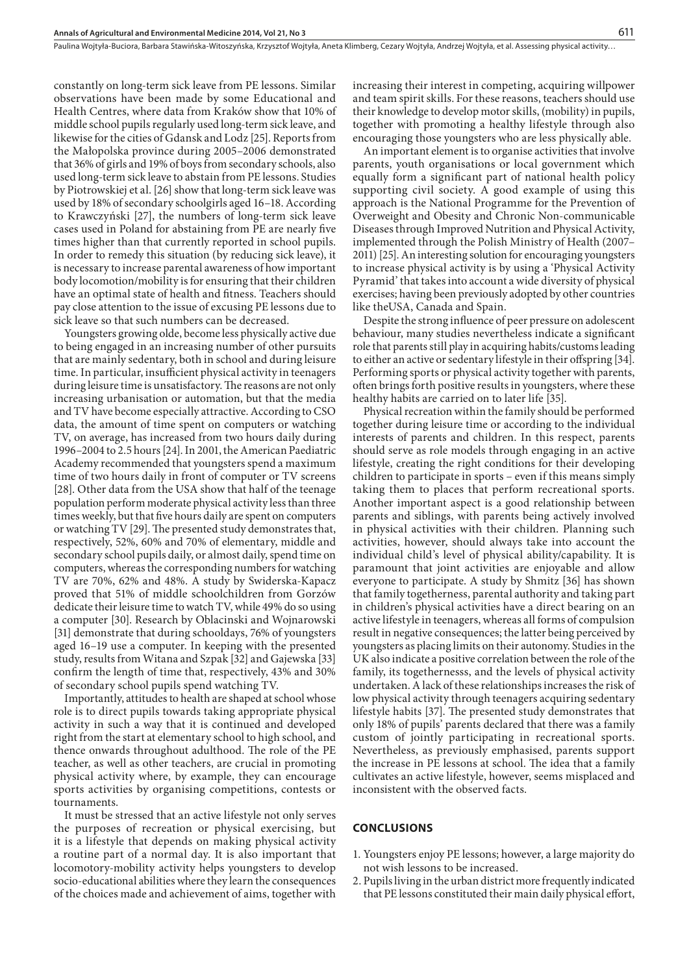constantly on long-term sick leave from PE lessons. Similar observations have been made by some Educational and Health Centres, where data from Kraków show that 10% of middle school pupils regularly used long-term sick leave, and likewise for the cities of Gdansk and Lodz [25]. Reports from the Małopolska province during 2005–2006 demonstrated that 36% of girls and 19% of boys from secondary schools, also used long-term sick leave to abstain from PE lessons. Studies by Piotrowskiej et al. [26] show that long-term sick leave was used by 18% of secondary schoolgirls aged 16–18. According to Krawczyński [27], the numbers of long-term sick leave cases used in Poland for abstaining from PE are nearly five times higher than that currently reported in school pupils. In order to remedy this situation (by reducing sick leave), it is necessary to increase parental awareness of how important body locomotion/mobility is for ensuring that their children have an optimal state of health and fitness. Teachers should pay close attention to the issue of excusing PE lessons due to sick leave so that such numbers can be decreased.

Youngsters growing olde, become less physically active due to being engaged in an increasing number of other pursuits that are mainly sedentary, both in school and during leisure time. In particular, insufficient physical activity in teenagers during leisure time is unsatisfactory. The reasons are not only increasing urbanisation or automation, but that the media and TV have become especially attractive. According to CSO data, the amount of time spent on computers or watching TV, on average, has increased from two hours daily during 1996–2004 to 2.5 hours [24]. In 2001, the American Paediatric Academy recommended that youngsters spend a maximum time of two hours daily in front of computer or TV screens [28]. Other data from the USA show that half of the teenage population perform moderate physical activity less than three times weekly, but that five hours daily are spent on computers or watching TV [29]. The presented study demonstrates that, respectively, 52%, 60% and 70% of elementary, middle and secondary school pupils daily, or almost daily, spend time on computers, whereas the corresponding numbers for watching TV are 70%, 62% and 48%. A study by Swiderska-Kapacz proved that 51% of middle schoolchildren from Gorzów dedicate their leisure time to watch TV, while 49% do so using a computer [30]. Research by Oblacinski and Wojnarowski [31] demonstrate that during schooldays, 76% of youngsters aged 16–19 use a computer. In keeping with the presented study, results from Witana and Szpak [32] and Gajewska [33] confirm the length of time that, respectively, 43% and 30% of secondary school pupils spend watching TV.

Importantly, attitudes to health are shaped at school whose role is to direct pupils towards taking appropriate physical activity in such a way that it is continued and developed right from the start at elementary school to high school, and thence onwards throughout adulthood. The role of the PE teacher, as well as other teachers, are crucial in promoting physical activity where, by example, they can encourage sports activities by organising competitions, contests or tournaments.

It must be stressed that an active lifestyle not only serves the purposes of recreation or physical exercising, but it is a lifestyle that depends on making physical activity a routine part of a normal day. It is also important that locomotory-mobility activity helps youngsters to develop socio-educational abilities where they learn the consequences of the choices made and achievement of aims, together with

increasing their interest in competing, acquiring willpower and team spirit skills. For these reasons, teachers should use their knowledge to develop motor skills, (mobility) in pupils, together with promoting a healthy lifestyle through also encouraging those youngsters who are less physically able.

An important element is to organise activities that involve parents, youth organisations or local government which equally form a significant part of national health policy supporting civil society. A good example of using this approach is the National Programme for the Prevention of Overweight and Obesity and Chronic Non-communicable Diseases through Improved Nutrition and Physical Activity, implemented through the Polish Ministry of Health (2007– 2011) [25]. An interesting solution for encouraging youngsters to increase physical activity is by using a 'Physical Activity Pyramid' that takes into account a wide diversity of physical exercises; having been previously adopted by other countries like theUSA, Canada and Spain.

Despite the strong influence of peer pressure on adolescent behaviour, many studies nevertheless indicate a significant role that parents still play in acquiring habits/customs leading to either an active or sedentary lifestyle in their offspring [34]. Performing sports or physical activity together with parents, often brings forth positive results in youngsters, where these healthy habits are carried on to later life [35].

Physical recreation within the family should be performed together during leisure time or according to the individual interests of parents and children. In this respect, parents should serve as role models through engaging in an active lifestyle, creating the right conditions for their developing children to participate in sports – even if this means simply taking them to places that perform recreational sports. Another important aspect is a good relationship between parents and siblings, with parents being actively involved in physical activities with their children. Planning such activities, however, should always take into account the individual child's level of physical ability/capability. It is paramount that joint activities are enjoyable and allow everyone to participate. A study by Shmitz [36] has shown that family togetherness, parental authority and taking part in children's physical activities have a direct bearing on an active lifestyle in teenagers, whereas all forms of compulsion result in negative consequences; the latter being perceived by youngsters as placing limits on their autonomy. Studies in the UK also indicate a positive correlation between the role of the family, its togethernesss, and the levels of physical activity undertaken. A lack of these relationships increases the risk of low physical activity through teenagers acquiring sedentary lifestyle habits [37]. The presented study demonstrates that only 18% of pupils' parents declared that there was a family custom of jointly participating in recreational sports. Nevertheless, as previously emphasised, parents support the increase in PE lessons at school. The idea that a family cultivates an active lifestyle, however, seems misplaced and inconsistent with the observed facts.

#### **CONCLUSIONS**

- 1. Youngsters enjoy PE lessons; however, a large majority do not wish lessons to be increased.
- 2. Pupils living in the urban district more frequently indicated that PE lessons constituted their main daily physical effort,